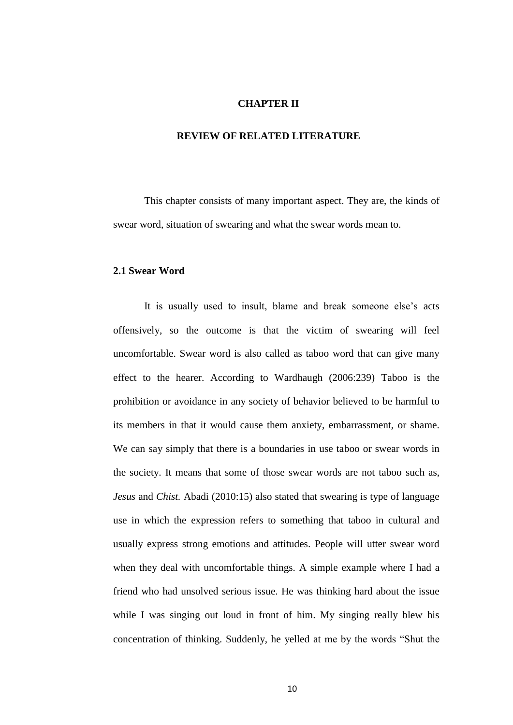# **CHAPTER II**

#### **REVIEW OF RELATED LITERATURE**

This chapter consists of many important aspect. They are, the kinds of swear word, situation of swearing and what the swear words mean to.

# **2.1 Swear Word**

It is usually used to insult, blame and break someone else's acts offensively, so the outcome is that the victim of swearing will feel uncomfortable. Swear word is also called as taboo word that can give many effect to the hearer. According to Wardhaugh (2006:239) Taboo is the prohibition or avoidance in any society of behavior believed to be harmful to its members in that it would cause them anxiety, embarrassment, or shame. We can say simply that there is a boundaries in use taboo or swear words in the society. It means that some of those swear words are not taboo such as, *Jesus* and *Chist.* Abadi (2010:15) also stated that swearing is type of language use in which the expression refers to something that taboo in cultural and usually express strong emotions and attitudes. People will utter swear word when they deal with uncomfortable things. A simple example where I had a friend who had unsolved serious issue. He was thinking hard about the issue while I was singing out loud in front of him. My singing really blew his concentration of thinking. Suddenly, he yelled at me by the words "Shut the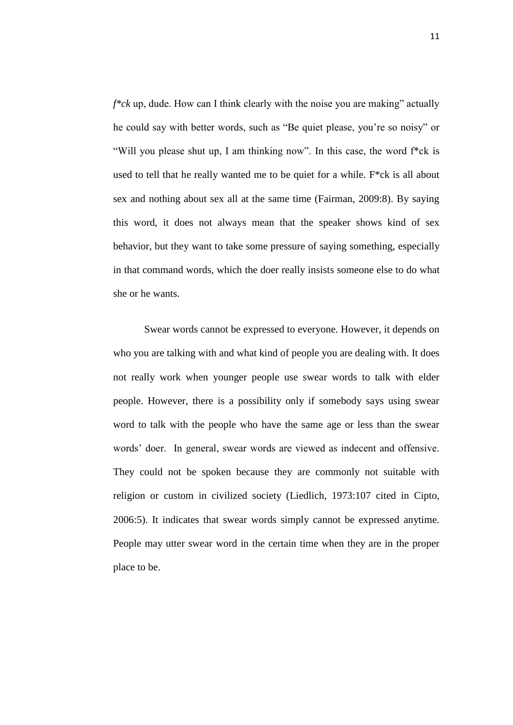*f\*ck* up, dude. How can I think clearly with the noise you are making" actually he could say with better words, such as "Be quiet please, you're so noisy" or "Will you please shut up, I am thinking now". In this case, the word f\*ck is used to tell that he really wanted me to be quiet for a while. F\*ck is all about sex and nothing about sex all at the same time (Fairman, 2009:8). By saying this word, it does not always mean that the speaker shows kind of sex behavior, but they want to take some pressure of saying something, especially in that command words, which the doer really insists someone else to do what she or he wants.

Swear words cannot be expressed to everyone. However, it depends on who you are talking with and what kind of people you are dealing with. It does not really work when younger people use swear words to talk with elder people. However, there is a possibility only if somebody says using swear word to talk with the people who have the same age or less than the swear words' doer. In general, swear words are viewed as indecent and offensive. They could not be spoken because they are commonly not suitable with religion or custom in civilized society (Liedlich, 1973:107 cited in Cipto, 2006:5). It indicates that swear words simply cannot be expressed anytime. People may utter swear word in the certain time when they are in the proper place to be.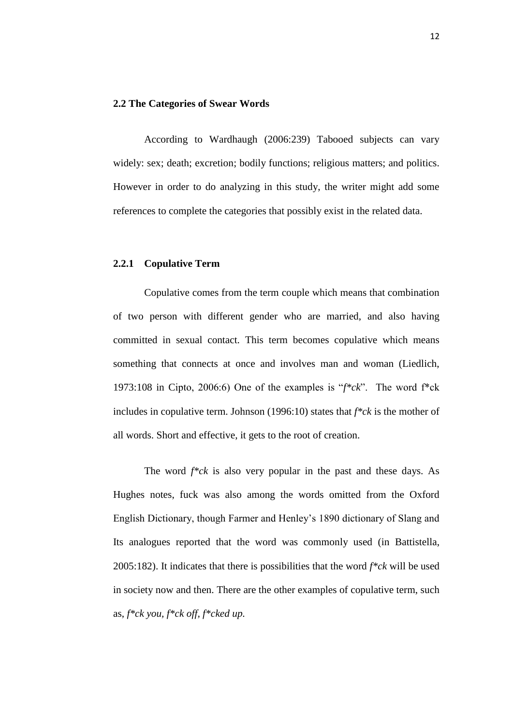## **2.2 The Categories of Swear Words**

According to Wardhaugh (2006:239) Tabooed subjects can vary widely: sex; death; excretion; bodily functions; religious matters; and politics. However in order to do analyzing in this study, the writer might add some references to complete the categories that possibly exist in the related data.

#### **2.2.1 Copulative Term**

Copulative comes from the term couple which means that combination of two person with different gender who are married, and also having committed in sexual contact. This term becomes copulative which means something that connects at once and involves man and woman (Liedlich, 1973:108 in Cipto, 2006:6) One of the examples is "*f\*ck*". The word f\*ck includes in copulative term. Johnson (1996:10) states that *f\*ck* is the mother of all words. Short and effective, it gets to the root of creation.

The word *f\*ck* is also very popular in the past and these days. As Hughes notes, fuck was also among the words omitted from the Oxford English Dictionary, though Farmer and Henley's 1890 dictionary of Slang and Its analogues reported that the word was commonly used (in Battistella, 2005:182). It indicates that there is possibilities that the word *f\*ck* will be used in society now and then. There are the other examples of copulative term, such as, *f\*ck you, f\*ck off, f\*cked up.*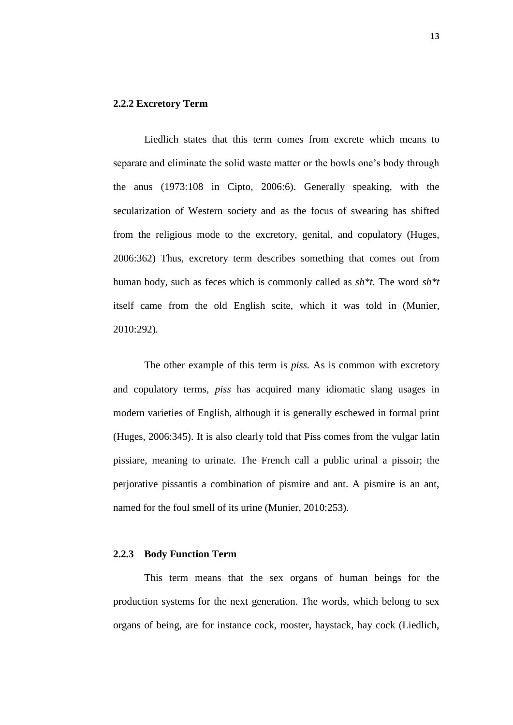## **2.2.2 Excretory Term**

Liedlich states that this term comes from excrete which means to separate and eliminate the solid waste matter or the bowls one's body through the anus (1973:108 in Cipto, 2006:6). Generally speaking, with the secularization of Western society and as the focus of swearing has shifted from the religious mode to the excretory, genital, and copulatory (Huges, 2006:362) Thus, excretory term describes something that comes out from human body, such as feces which is commonly called as *sh\*t.* The word *sh\*t* itself came from the old English scite, which it was told in (Munier, 2010:292)*.* 

The other example of this term is *piss.* As is common with excretory and copulatory terms, *piss* has acquired many idiomatic slang usages in modern varieties of English, although it is generally eschewed in formal print (Huges, 2006:345). It is also clearly told that Piss comes from the vulgar latin pissiare, meaning to urinate. The French call a public urinal a pissoir; the perjorative pissantis a combination of pismire and ant. A pismire is an ant, named for the foul smell of its urine (Munier, 2010:253).

#### **2.2.3 Body Function Term**

This term means that the sex organs of human beings for the production systems for the next generation. The words, which belong to sex organs of being, are for instance cock, rooster, haystack, hay cock (Liedlich,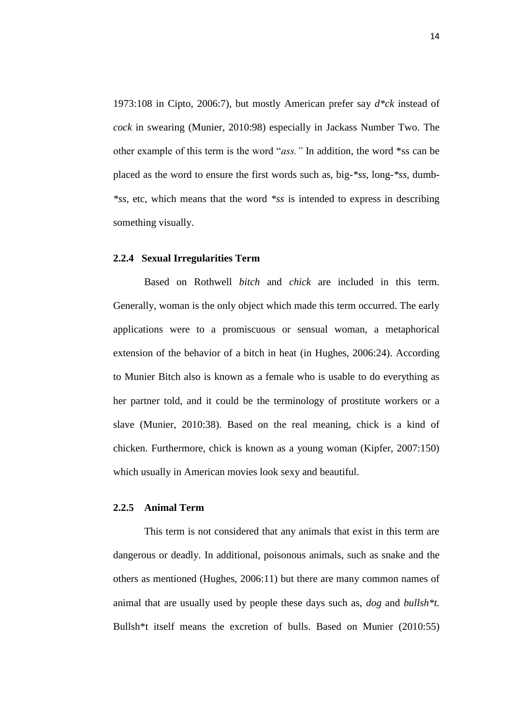1973:108 in Cipto, 2006:7), but mostly American prefer say *d\*ck* instead of *cock* in swearing (Munier, 2010:98) especially in Jackass Number Two. The other example of this term is the word "*ass."* In addition, the word \*ss can be placed as the word to ensure the first words such as, big*-\*ss*, long*-\*ss*, dumb*- \*ss,* etc, which means that the word *\*ss* is intended to express in describing something visually.

## **2.2.4****Sexual Irregularities Term**

Based on Rothwell *bitch* and *chick* are included in this term. Generally, woman is the only object which made this term occurred. The early applications were to a promiscuous or sensual woman, a metaphorical extension of the behavior of a bitch in heat (in Hughes, 2006:24). According to Munier Bitch also is known as a female who is usable to do everything as her partner told, and it could be the terminology of prostitute workers or a slave (Munier, 2010:38). Based on the real meaning, chick is a kind of chicken. Furthermore, chick is known as a young woman (Kipfer, 2007:150) which usually in American movies look sexy and beautiful.

# **2.2.5 Animal Term**

This term is not considered that any animals that exist in this term are dangerous or deadly. In additional, poisonous animals, such as snake and the others as mentioned (Hughes, 2006:11) but there are many common names of animal that are usually used by people these days such as, *dog* and *bullsh\*t.*  Bullsh\*t itself means the excretion of bulls. Based on Munier (2010:55)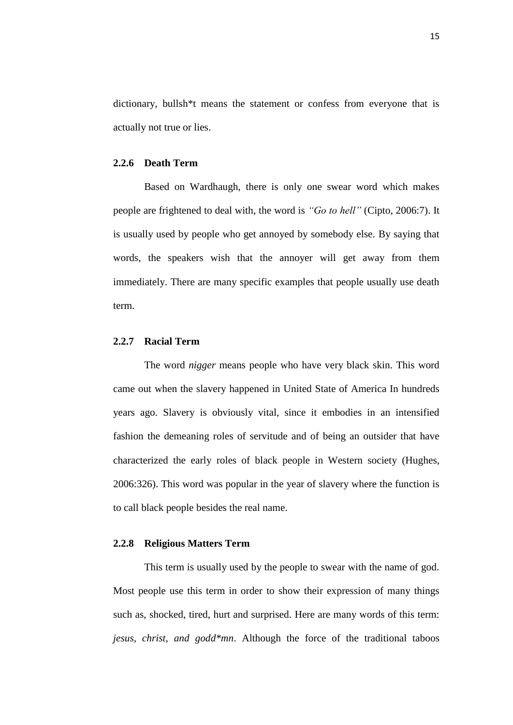dictionary, bullsh\*t means the statement or confess from everyone that is actually not true or lies.

### **2.2.6 Death Term**

Based on Wardhaugh, there is only one swear word which makes people are frightened to deal with, the word is *"Go to hell"* (Cipto, 2006:7). It is usually used by people who get annoyed by somebody else. By saying that words, the speakers wish that the annoyer will get away from them immediately. There are many specific examples that people usually use death term.

## **2.2.7 Racial Term**

The word *nigger* means people who have very black skin. This word came out when the slavery happened in United State of America In hundreds years ago. Slavery is obviously vital, since it embodies in an intensified fashion the demeaning roles of servitude and of being an outsider that have characterized the early roles of black people in Western society (Hughes, 2006:326). This word was popular in the year of slavery where the function is to call black people besides the real name.

#### **2.2.8 Religious Matters Term**

This term is usually used by the people to swear with the name of god. Most people use this term in order to show their expression of many things such as, shocked, tired, hurt and surprised. Here are many words of this term: *jesus, christ, and godd\*mn*. Although the force of the traditional taboos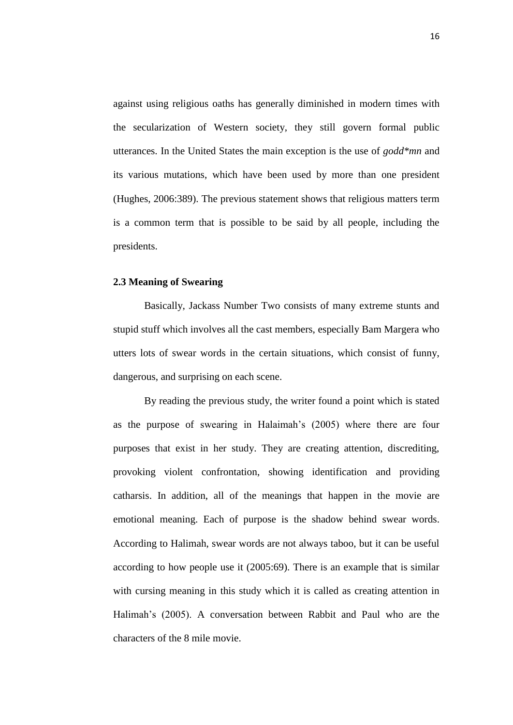against using religious oaths has generally diminished in modern times with the secularization of Western society, they still govern formal public utterances. In the United States the main exception is the use of *godd\*mn* and its various mutations, which have been used by more than one president (Hughes, 2006:389). The previous statement shows that religious matters term is a common term that is possible to be said by all people, including the presidents.

## **2.3 Meaning of Swearing**

Basically, Jackass Number Two consists of many extreme stunts and stupid stuff which involves all the cast members, especially Bam Margera who utters lots of swear words in the certain situations, which consist of funny, dangerous, and surprising on each scene.

By reading the previous study, the writer found a point which is stated as the purpose of swearing in Halaimah's (2005) where there are four purposes that exist in her study. They are creating attention, discrediting, provoking violent confrontation, showing identification and providing catharsis. In addition, all of the meanings that happen in the movie are emotional meaning. Each of purpose is the shadow behind swear words. According to Halimah, swear words are not always taboo, but it can be useful according to how people use it (2005:69). There is an example that is similar with cursing meaning in this study which it is called as creating attention in Halimah's (2005). A conversation between Rabbit and Paul who are the characters of the 8 mile movie.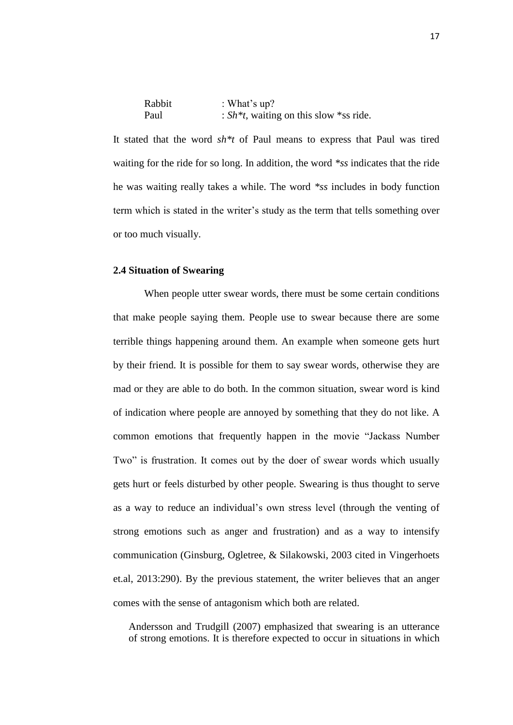| Rabbit | : What's $up?$                             |
|--------|--------------------------------------------|
| Paul   | : $Sh^*t$ , waiting on this slow *ss ride. |

It stated that the word *sh\*t* of Paul means to express that Paul was tired waiting for the ride for so long. In addition, the word *\*ss* indicates that the ride he was waiting really takes a while. The word *\*ss* includes in body function term which is stated in the writer's study as the term that tells something over or too much visually.

#### **2.4 Situation of Swearing**

When people utter swear words, there must be some certain conditions that make people saying them. People use to swear because there are some terrible things happening around them. An example when someone gets hurt by their friend. It is possible for them to say swear words, otherwise they are mad or they are able to do both. In the common situation, swear word is kind of indication where people are annoyed by something that they do not like. A common emotions that frequently happen in the movie "Jackass Number Two" is frustration. It comes out by the doer of swear words which usually gets hurt or feels disturbed by other people. Swearing is thus thought to serve as a way to reduce an individual's own stress level (through the venting of strong emotions such as anger and frustration) and as a way to intensify communication (Ginsburg, Ogletree, & Silakowski, 2003 cited in Vingerhoets et.al, 2013:290). By the previous statement, the writer believes that an anger comes with the sense of antagonism which both are related.

Andersson and Trudgill (2007) emphasized that swearing is an utterance of strong emotions. It is therefore expected to occur in situations in which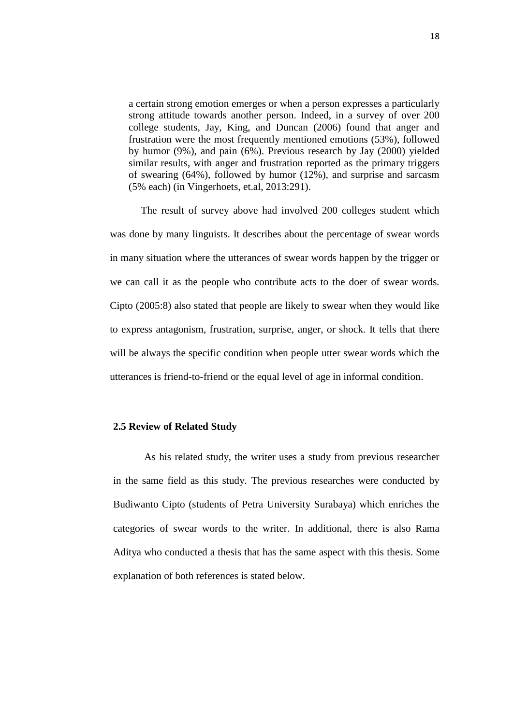a certain strong emotion emerges or when a person expresses a particularly strong attitude towards another person. Indeed, in a survey of over 200 college students, Jay, King, and Duncan (2006) found that anger and frustration were the most frequently mentioned emotions (53%), followed by humor (9%), and pain (6%). Previous research by Jay (2000) yielded similar results, with anger and frustration reported as the primary triggers of swearing (64%), followed by humor (12%), and surprise and sarcasm (5% each) (in Vingerhoets, et.al, 2013:291).

The result of survey above had involved 200 colleges student which was done by many linguists. It describes about the percentage of swear words in many situation where the utterances of swear words happen by the trigger or we can call it as the people who contribute acts to the doer of swear words. Cipto (2005:8) also stated that people are likely to swear when they would like to express antagonism, frustration, surprise, anger, or shock. It tells that there will be always the specific condition when people utter swear words which the utterances is friend-to-friend or the equal level of age in informal condition.

#### **2.5 Review of Related Study**

As his related study, the writer uses a study from previous researcher in the same field as this study. The previous researches were conducted by Budiwanto Cipto (students of Petra University Surabaya) which enriches the categories of swear words to the writer. In additional, there is also Rama Aditya who conducted a thesis that has the same aspect with this thesis. Some explanation of both references is stated below.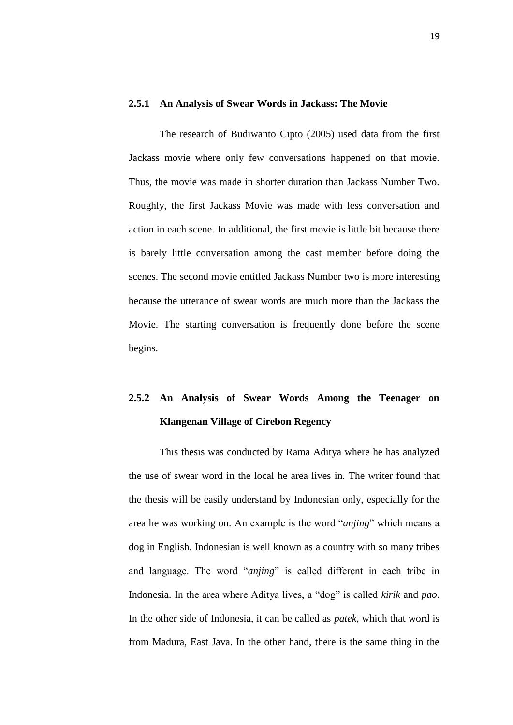#### **2.5.1 An Analysis of Swear Words in Jackass: The Movie**

The research of Budiwanto Cipto (2005) used data from the first Jackass movie where only few conversations happened on that movie. Thus, the movie was made in shorter duration than Jackass Number Two. Roughly, the first Jackass Movie was made with less conversation and action in each scene. In additional, the first movie is little bit because there is barely little conversation among the cast member before doing the scenes. The second movie entitled Jackass Number two is more interesting because the utterance of swear words are much more than the Jackass the Movie. The starting conversation is frequently done before the scene begins.

# **2.5.2 An Analysis of Swear Words Among the Teenager on Klangenan Village of Cirebon Regency**

This thesis was conducted by Rama Aditya where he has analyzed the use of swear word in the local he area lives in. The writer found that the thesis will be easily understand by Indonesian only, especially for the area he was working on. An example is the word "*anjing*" which means a dog in English. Indonesian is well known as a country with so many tribes and language. The word "*anjing*" is called different in each tribe in Indonesia. In the area where Aditya lives, a "dog" is called *kirik* and *pao*. In the other side of Indonesia, it can be called as *patek*, which that word is from Madura, East Java. In the other hand, there is the same thing in the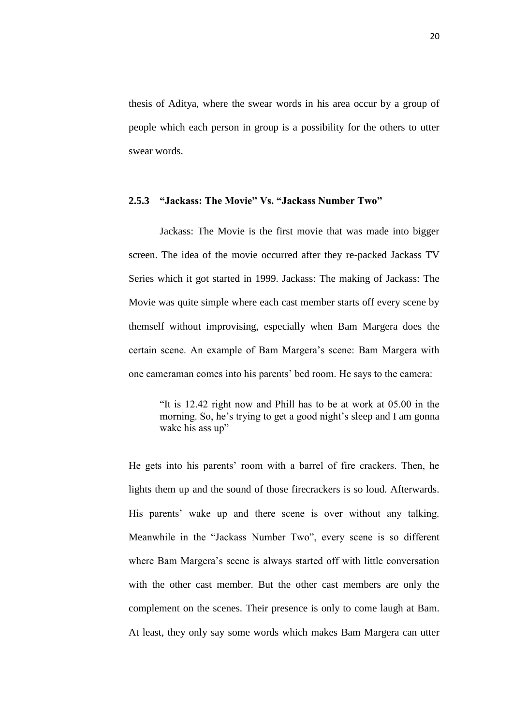thesis of Aditya, where the swear words in his area occur by a group of people which each person in group is a possibility for the others to utter swear words.

#### **2.5.3 "Jackass: The Movie" Vs. "Jackass Number Two"**

Jackass: The Movie is the first movie that was made into bigger screen. The idea of the movie occurred after they re-packed Jackass TV Series which it got started in 1999. Jackass: The making of Jackass: The Movie was quite simple where each cast member starts off every scene by themself without improvising, especially when Bam Margera does the certain scene. An example of Bam Margera's scene: Bam Margera with one cameraman comes into his parents' bed room. He says to the camera:

"It is 12.42 right now and Phill has to be at work at 05.00 in the morning. So, he's trying to get a good night's sleep and I am gonna wake his ass up"

He gets into his parents' room with a barrel of fire crackers. Then, he lights them up and the sound of those firecrackers is so loud. Afterwards. His parents' wake up and there scene is over without any talking. Meanwhile in the "Jackass Number Two", every scene is so different where Bam Margera's scene is always started off with little conversation with the other cast member. But the other cast members are only the complement on the scenes. Their presence is only to come laugh at Bam. At least, they only say some words which makes Bam Margera can utter